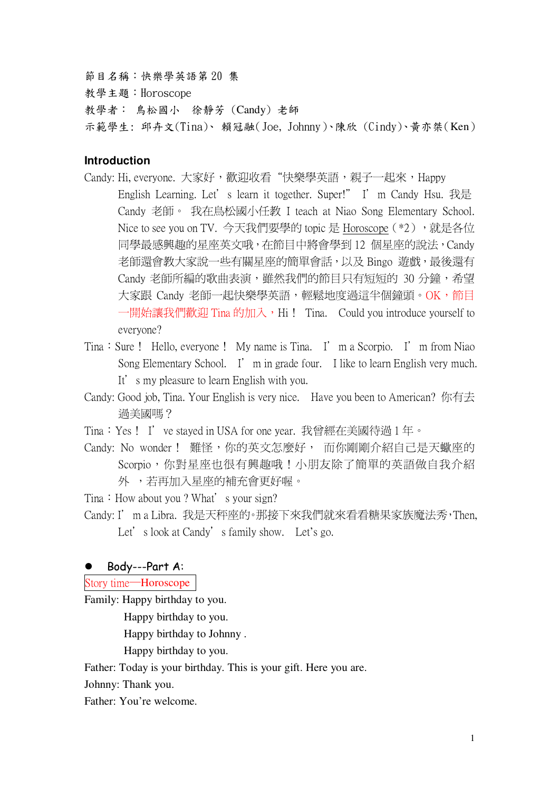節目名稱:快樂學英語第20集

教學主題:Horoscope

教學者: 鳥松國小 徐靜芳 (Candy) 老師

示範學生: 邱卉文(Tina)、賴冠融(Joe, Johnny)、陳欣 (Cindy)、黃亦桀(Ken)

# **Introduction**

- Candy: Hi, everyone. 大家好,歡迎收看"快樂學英語,親子一起來,Happy English Learning. Let's learn it together. Super!" I' m Candy Hsu. 我是 Candy 老師。 我在鳥松國小任教 I teach at Niao Song Elementary School. Nice to see you on TV. 今天我們要學的 topic 是 Horoscope (\*2), 就是各位 同學最感興趣的星座英文哦,在節目中將會學到12個星座的說法,Candy 老師還會教大家說一些有關星座的簡單會話,以及 Bingo 遊戲,最後還有 Candy 老師所編的歌曲表演,雖然我們的節目只有短短的 30 分鐘,希望 大家跟 Candy 老師一起快樂學英語,輕鬆地度過這半個鐘頭。OK,節目 一開始讓我們歡迎 Tina 的加入, Hi! Tina. Could you introduce yourself to evervone?
- Tina: Sure! Hello, everyone! My name is Tina. I' m a Scorpio. I' m from Niao Song Elementary School. I' m in grade four. I like to learn English very much. It's my pleasure to learn English with you.
- Candy: Good job, Tina. Your English is very nice. Have you been to American? 你有去 渦美國嗎?
- Tina: Yes! I' ve stayed in USA for one year. 我曾經在美國待過1年。
- Candy: No wonder! 難怪, 你的英文怎麼好, 而你剛剛介紹自己是天蠍座的 Scorpio,你對星座也很有興趣哦!小朋友除了簡單的英語做自我介紹 外,若再加入星座的補充會更好喔。

Tina: How about you? What's your sign?

Candy: I' m a Libra. 我是天秤座的。那接下來我們就來看看糖果家族魔法秀, Then, Let's look at Candy's family show. Let's go.

## • Body---Part A:

Story time-Horoscope

Family: Happy birthday to you.

Happy birthday to you.

Happy birthday to Johnny.

Happy birthday to you.

Father: Today is your birthday. This is your gift. Here you are.

Johnny: Thank you.

Father: You're welcome.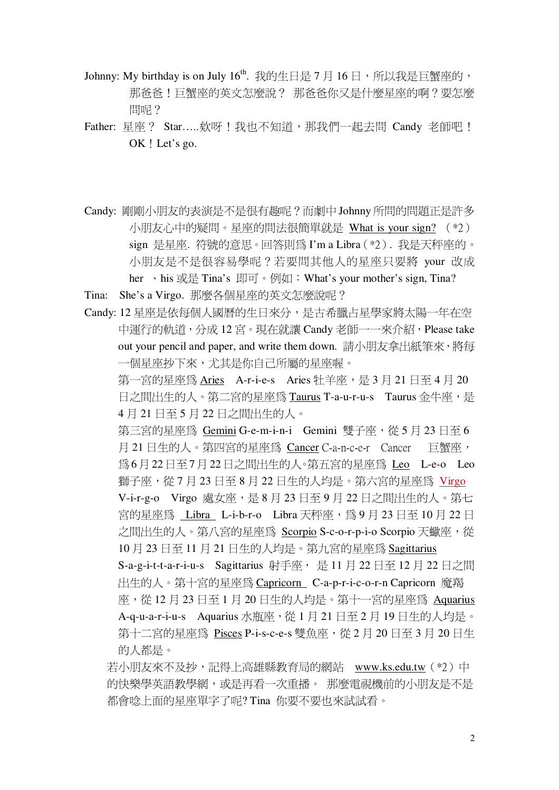- Johnny: My birthday is on July 16<sup>th</sup>. 我的生日是 7 月 16 日, 所以我是巨蟹座的, 那爸爸!巨蟹座的英文怎麼說? 那爸爸你又是什麼星座的啊?要怎麼 間呢?
- Father: 星座? Star.....欸呀!我也不知道,那我們一起去問 Candy 老師吧! OK ! Let's go.
- Candy: 剛剛小朋友的表演是不是很有趣呢?而劇中 Johnny 所問的問題正是許多 小朋友心中的疑問。星座的問法很簡單就是 What is your sign? (\*2) sign 是星座. 符號的意思。回答則為 I'm a Libra (\*2). 我是天秤座的。 小朋友是不是很容易學呢?若要問其他人的星座只要將 your 改成 her 、his 或是 Tina's 即可。例如:What's your mother's sign, Tina?
- Tina: She's a Virgo. 那麼各個星座的英文怎麼說呢?
- Candy: 12 星座是依每個人國曆的生日來分,是古希臘占星學家將太陽一年在空 中運行的軌道,分成12宮。現在就讓 Candy 老師一一來介紹, Please take out your pencil and paper, and write them down. 請小朋友拿出紙筆來, 將每 一個星座抄下來,尤其是你自己所屬的星座喔。

第一宮的星座為 Aries A-r-i-e-s Aries 牡羊座,是3月21日至4月20 日之間出生的人。第二宮的星座為 Taurus T-a-u-r-u-s Taurus 金牛座,是 4月21日至5月22日之間出生的人。

第三宮的星座為 Gemini G-e-m-i-n-i Gemini 雙子座, 從5月23日至6 月21日生的人。第四宮的星座為 Cancer C-a-n-c-e-r Cancer 百蟹座, 為6月22日至7月22日之間出生的人。第五宮的星座為 Leo L-e-o Leo 獅子座,從7月23日至8月22日生的人均是。第六宮的星座為 Virgo V-i-r-g-o Virgo 處女座,是8月23日至9月22日之間出生的人。第七 宮的星座為 Libra L-i-b-r-o Libra 天秤座, 為9月23日至10月22日 之間出生的人。第八宮的星座為 Scorpio S-c-o-r-p-i-o Scorpio 天蠍座, 從 10月23日至11月21日生的人均是。第九宮的星座為 Sagittarius S-a-g-i-t-t-a-r-i-u-s Sagittarius 射手座, 是 11 月 22 日至 12 月 22 日之間 出生的人。第十宮的星座為 Capricorn C-a-p-r-i-c-o-r-n Capricorn 魔羯 座,從12月23日至1月20日生的人均是。第十一宮的星座為 Aquarius A-q-u-a-r-i-u-s Aquarius 水瓶座, 從 1 月 21 日至 2 月 19 日生的人均是。 第十二宮的星座為 Pisces P-i-s-c-e-s 雙魚座, 從2月20日至3月20日生 的人都是。

若小朋友來不及抄,記得上高雄縣教育局的網站 www.ks.edu.tw (\*2) 中 的快樂學英語教學網,或是再看一次重播。 那麼雷視機前的小朋友是不是 都會唸上面的星座單字了呢? Tina 你要不要也來試試看。

 $\overline{2}$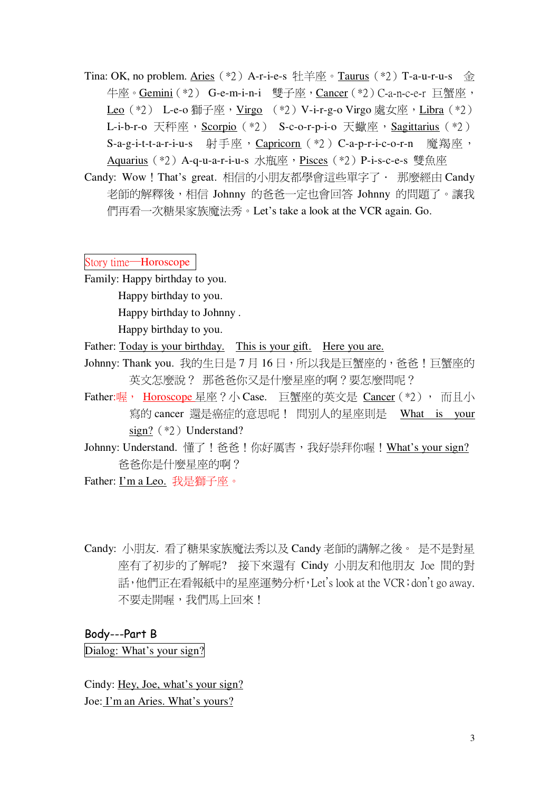Tina: OK, no problem. Aries (\*2) A-r-i-e-s 牡羊座。Taurus (\*2) T-a-u-r-u-s 金 牛座。Gemini (\*2) G-e-m-i-n-i 雙子座, Cancer (\*2) C-a-n-c-e-r 巨蟹座, Leo (\*2) L-e-o 獅子座, Virgo (\*2) V-i-r-g-o Virgo 處女座, Libra (\*2) L-i-b-r-o 天秤座, Scorpio (\*2) S-c-o-r-p-i-o 天蠍座, Sagittarius (\*2) S-a-g-i-t-t-a-r-i-u-s 射手座, Capricorn (\*2) C-a-p-r-i-c-o-r-n 魔羯座, Aquarius (\*2) A-q-u-a-r-i-u-s 水瓶座, Pisces (\*2) P-i-s-c-e-s 雙魚座

Candy: Wow ! That's great. 相信的小朋友都學會這些單字了 · 那麼經由 Candy 老師的解釋後,相信 Johnny 的爸爸一定也會回答 Johnny 的問題了。讓我 們再看一次糖果家族魔法秀。Let's take a look at the VCR again. Go.

Story time-Horoscope

Family: Happy birthday to you.

Happy birthday to you.

Happy birthday to Johnny.

Happy birthday to you.

Father: Today is your birthday. This is your gift. Here you are.

- Johnny: Thank you. 我的生日是7月16日, 所以我是巨蟹座的, 爸爸! 巨蟹座的 英文怎麼說? 那爸爸你又是什麼星座的啊?要怎麼問呢?
- Father:喔, Horoscope 星座 ? 小 Case. 巨蟹座的英文是 Cancer (\*2), 而且小 寫的 cancer 還是癌症的意思呢! 問別人的星座則是 What is your sign?  $(*2)$  Understand?
- Johnny: Understand. 懂了!爸爸!你好厲害, 我好崇拜你喔!What's your sign? 爸爸你是什麼星座的啊?

Father: I'm a Leo. 我是獅子座。

Candy: 小朋友. 看了糖果家族魔法秀以及 Candy 老師的講解之後。 是不是對星 座有了初步的了解呢? 接下來還有 Cindy 小朋友和他朋友 Joe 間的對 話,他們正在看報紙中的星座運勢分析, Let's look at the VCR; don't go away. 不要走開喔,我們馬上回來!

## Body---Part B

Dialog: What's your sign?

Cindy: Hey, Joe, what's your sign? Joe: I'm an Aries. What's yours?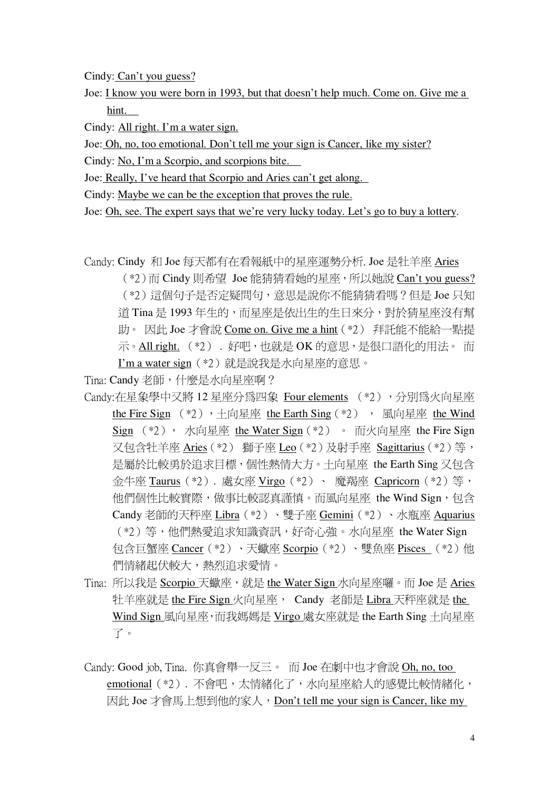Cindy: Can't you guess?

Joe: I know you were born in 1993, but that doesn't help much. Come on. Give me a hint.

Cindy: All right. I'm a water sign.

Joe: Oh, no, too emotional. Don't tell me your sign is Cancer, like my sister?

Cindy: No, I'm a Scorpio, and scorpions bite.

Joe: Really, I've heard that Scorpio and Aries can't get along.

Cindy: Maybe we can be the exception that proves the rule.

Joe: Oh, see. The expert says that we're very lucky today. Let's go to buy a lottery.

Candy: Cindy 和 Joe 每天都有在看報紙中的星座運勢分析. Joe 是牡羊座 Aries

(\*2)而 Cindy 則希望 Joe 能猜猜看她的星座, 所以她說 Can't you guess? (\*2)這個句子是否定疑問句,意思是說你不能猜猜看嗎?但是 Joe 只知 道 Tina 是 1993年生的, 而星座是依出生的生日來分, 對於猜星座沒有幫 助。因此 Joe 才會說 Come on. Give me a hint (\*2) 拜託能不能給一點提 示。All right. (\*2). 好吧, 也就是 OK 的意思, 是很口語化的用法。而 I'm a water sign (\*2) 就是說我是水向星座的意思。

Tina: Candy 老師, 什麼是水向星座啊?

- Candv:在星象學中又將 12 星座分為四象 Four elements (\*2),分別為火向星座 the Fire Sign (\*2), 土向星座 the Earth Sing (\*2), 風向星座 the Wind Sign (\*2), 水向星座 the Water Sign (\*2) 。 而火向星座 the Fire Sign 又句含针羊座 Aries (\*2) 獅子座 Leo (\*2) 及射手座 Sagittarius (\*2) 等, 是屬於比較勇於追求目標, 個性熱情大方。十向星座 the Earth Sing 又句含 余牛座 Taurus (\*2). 處女座 Virgo (\*2) 、 魔羯座 Capricorn (\*2) 等, 他們個性比較實際,做事比較認直謹慎。而風向星座 the Wind Sign, 句含 Candy 老師的天秤座 Libra (\*2)、雙子座 Gemini (\*2)、水瓶座 Aquarius (\*2) 等,他們熱愛追求知識資訊,好奇心強。水向星座 the Water Sign 句含巨蟹座 Cancer (\*2)、天蠍座 Scorpio (\*2)、雙魚座 Pisces (\*2)他 們情緒起伏較大,熱烈洎求愛情。
- Tina: 所以我是 Scorpio 天蠍座, 就是 the Water Sign 水向星座囉。而 Joe 是 Aries 牡羊座就是 the Fire Sign 火向星座, Candy 老師是 Libra 天秤座就是 the Wind Sign 風向星座, 而我媽媽是 Virgo 處女座就是 the Earth Sing 十向星座 了。
- Candy: Good job, Tina. 你真會舉一反三。 而 Joe 在劇中也才會說 Oh, no, too emotional (\*2). 不會吧,太情緒化了,水向星座給人的感覺比較情緒化, 因此 Joe 才會馬上想到他的家人, Don't tell me your sign is Cancer, like my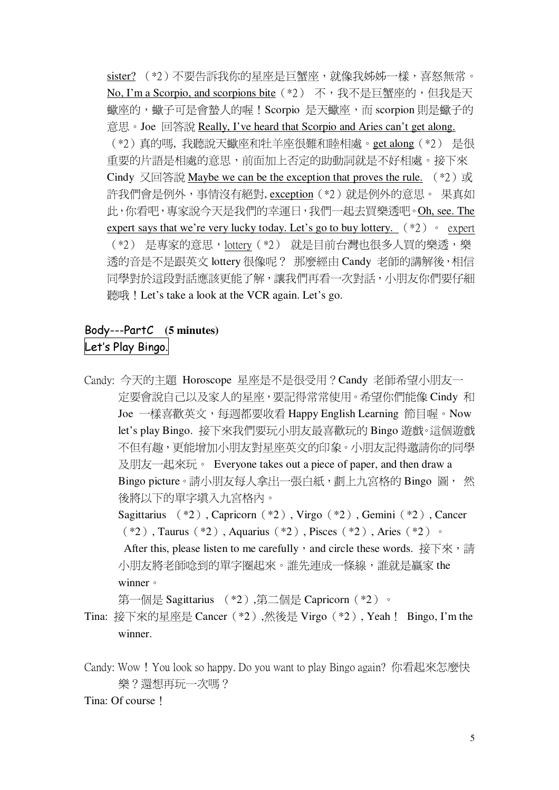sister? (\*2)不要告訴我你的星座是巨蟹座,就像我姊姊一樣,喜怒無常。 No, I'm a Scorpio, and scorpions bite (\*2) 不, 我不是巨蟹座的, 但我是天 蠍座的,蠍子可是會蟄人的喔!Scorpio 是天蠍座,而 scorpion 則是蠍子的 意思。Joe 回答說 Really, I've heard that Scorpio and Aries can't get along. (\*2)真的嗎,我聽說天蠍座和牡羊座很難和睦相處。get along (\*2) 是很 重要的片語是相處的意思,前面加上否定的助動詞就是不好相處。接下來 Cindy 又回答說 Maybe we can be the exception that proves the rule.  $(*2)$  或 許我們會是例外,事情沒有絕對, exception (\*2) 就是例外的意思。 果真如 此,你看吧,專家說今天是我們的幸運日,我們一起去買樂透吧。Oh, see. The expert says that we're very lucky today. Let's go to buy lottery.  $(*2) \circ$  expert (\*2) 是專家的意思, lottery (\*2) 就是目前台灣也很多人買的樂透,樂 透的音是不是跟英文 lottery 很像呢? 那麼經由 Candy 老師的講解後,相信 同學對於這段對話應該更能了解,讓我們再看一次對話,小朋友你們要仔細 聽哦! Let's take a look at the VCR again. Let's go.

# Body---PartC (5 minutes) Let's Play Bingo.

Candy: 今天的主題 Horoscope 星座是不是很受用?Candy 老師希望小朋友一 定要會說自己以及家人的星座,要記得常常使用。希望你們能像 Cindy 和 Joe 一樣喜歡英文,每週都要收看 Happy English Learning 節目喔。Now let's play Bingo. 接下來我們要玩小朋友最喜歡玩的 Bingo 遊戲。這個遊戲 不但有趣,更能增加小朋友對星座英文的印象。小朋友記得激請你的同學 及朋友一起來玩。 Everyone takes out a piece of paper, and then draw a Bingo picture。請小朋友每人拿出一張白紙, 劃上九宮格的 Bingo 圖, 然 後將以下的單字埴入九宮格內。 Sagittarius (\*2), Capricorn (\*2), Virgo (\*2), Gemini (\*2), Cancer  $(*2)$ , Taurus  $(*2)$ , Aquarius  $(*2)$ , Pisces  $(*2)$ , Aries  $(*2)$ . After this, please listen to me carefully, and circle these words. 接下來,請 小朋友將老師唸到的單字圈起來。誰先連成一條線,誰就是贏家 the

winner •

第一個是 Sagittarius (\*2), 第二個是 Capricorn (\*2) 。

- Tina: 接下來的星座是 Cancer (\*2),然後是 Virgo (\*2), Yeah ! Bingo, I'm the winner.
- Candy: Wow! You look so happy. Do you want to play Bingo again? 你看起來怎麼快 樂?澴想再玩一次嗎?

## Tina: Of course 1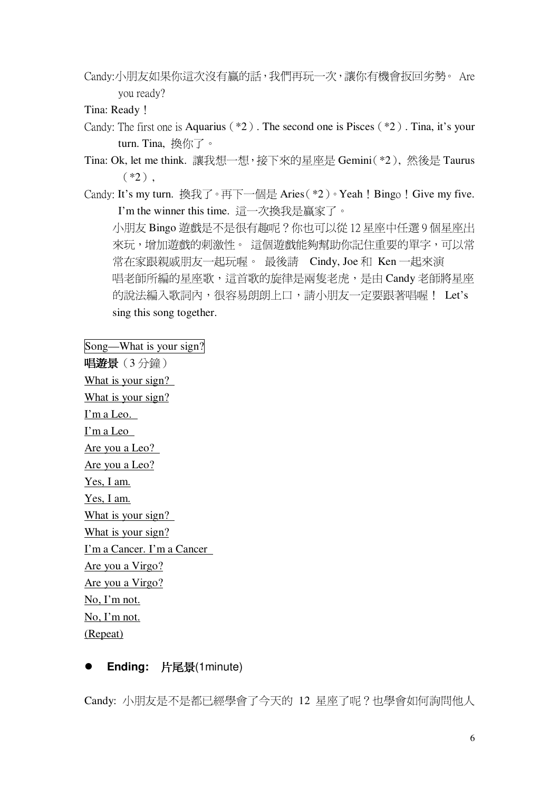Candy:小朋友如果你這次沒有贏的話,我們再玩一次,讓你有機會扳回劣勢。 Are you ready?

Tina: Ready!

- Candy: The first one is Aquarius  $(*2)$ . The second one is Pisces  $(*2)$ . Tina, it's your turn. Tina, 換你了。
- Tina: Ok, let me think. 讓我想一想, 接下來的星座是 Gemini(\*2), 然後是 Taurus  $(*2)$ .
- Candy: It's my turn. 換我了。再下一個是 Aries (\*2)。Yeah ! Bingo ! Give my five. I'm the winner this time. 這一次換我是贏家了。

小朋友 Bingo 遊戲是不是很有趣呢?你也可以從12星座中任選9個星座出 來玩,增加遊戲的刺激性。這個遊戲能夠幫助你記住重要的單字,可以常 常在家跟親戚朋友一起玩喔。 最後請 Cindy, Joe 和 Ken 一起來演 唱老師所編的星座歌,這首歌的旋律是兩隻老虎,是由 Candy 老師將星座 的說法編入歌詞內,很容易朗朗上口,請小朋友一定要跟著唱喔! Let's sing this song together.

Song—What is your sign? 唱遊景(3分鐘) What is your sign? What is your sign? I'm a Leo. I'm a Leo Are you a Leo? Are you a Leo? Yes, I am. Yes, I am. What is your sign? What is your sign? I'm a Cancer. I'm a Cancer Are you a Virgo? Are you a Virgo? No, I'm not. No, I'm not. (Repeat)

# Ending: 片尾景(1minute)

Candy: 小朋友是不是都已經學會了今天的 12 星座了呢?也學會如何詢問他人